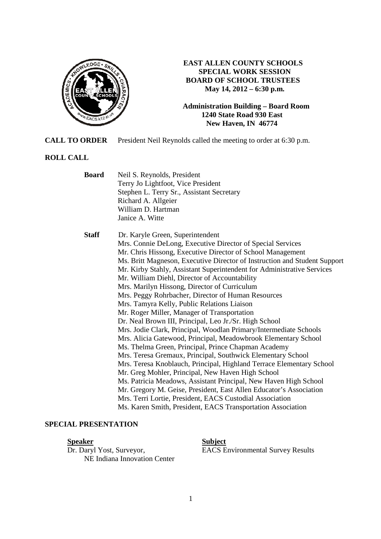

## **EAST ALLEN COUNTY SCHOOLS SPECIAL WORK SESSION BOARD OF SCHOOL TRUSTEES May 14, 2012 – 6:30 p.m.**

#### **Administration Building – Board Room 1240 State Road 930 East New Haven, IN 46774**

**CALL TO ORDER** President Neil Reynolds called the meeting to order at 6:30 p.m.

# **ROLL CALL**

| <b>Board</b> | Neil S. Reynolds, President<br>Terry Jo Lightfoot, Vice President<br>Stephen L. Terry Sr., Assistant Secretary<br>Richard A. Allgeier<br>William D. Hartman<br>Janice A. Witte                                                                                                                                                                                                                                                                                                                                                                                                                                                                                                                                                                                                                                                                                                                                                                                                                                                                                                                                                                                                                                                                                                                    |
|--------------|---------------------------------------------------------------------------------------------------------------------------------------------------------------------------------------------------------------------------------------------------------------------------------------------------------------------------------------------------------------------------------------------------------------------------------------------------------------------------------------------------------------------------------------------------------------------------------------------------------------------------------------------------------------------------------------------------------------------------------------------------------------------------------------------------------------------------------------------------------------------------------------------------------------------------------------------------------------------------------------------------------------------------------------------------------------------------------------------------------------------------------------------------------------------------------------------------------------------------------------------------------------------------------------------------|
| <b>Staff</b> | Dr. Karyle Green, Superintendent<br>Mrs. Connie DeLong, Executive Director of Special Services<br>Mr. Chris Hissong, Executive Director of School Management<br>Ms. Britt Magneson, Executive Director of Instruction and Student Support<br>Mr. Kirby Stahly, Assistant Superintendent for Administrative Services<br>Mr. William Diehl, Director of Accountability<br>Mrs. Marilyn Hissong, Director of Curriculum<br>Mrs. Peggy Rohrbacher, Director of Human Resources<br>Mrs. Tamyra Kelly, Public Relations Liaison<br>Mr. Roger Miller, Manager of Transportation<br>Dr. Neal Brown III, Principal, Leo Jr./Sr. High School<br>Mrs. Jodie Clark, Principal, Woodlan Primary/Intermediate Schools<br>Mrs. Alicia Gatewood, Principal, Meadowbrook Elementary School<br>Ms. Thelma Green, Principal, Prince Chapman Academy<br>Mrs. Teresa Gremaux, Principal, Southwick Elementary School<br>Mrs. Teresa Knoblauch, Principal, Highland Terrace Elementary School<br>Mr. Greg Mohler, Principal, New Haven High School<br>Ms. Patricia Meadows, Assistant Principal, New Haven High School<br>Mr. Gregory M. Geise, President, East Allen Educator's Association<br>Mrs. Terri Lortie, President, EACS Custodial Association<br>Ms. Karen Smith, President, EACS Transportation Association |

# **SPECIAL PRESENTATION**

# **Speaker Subject**

Dr. Daryl Yost, Surveyor, EACS Environmental Survey Results NE Indiana Innovation Center